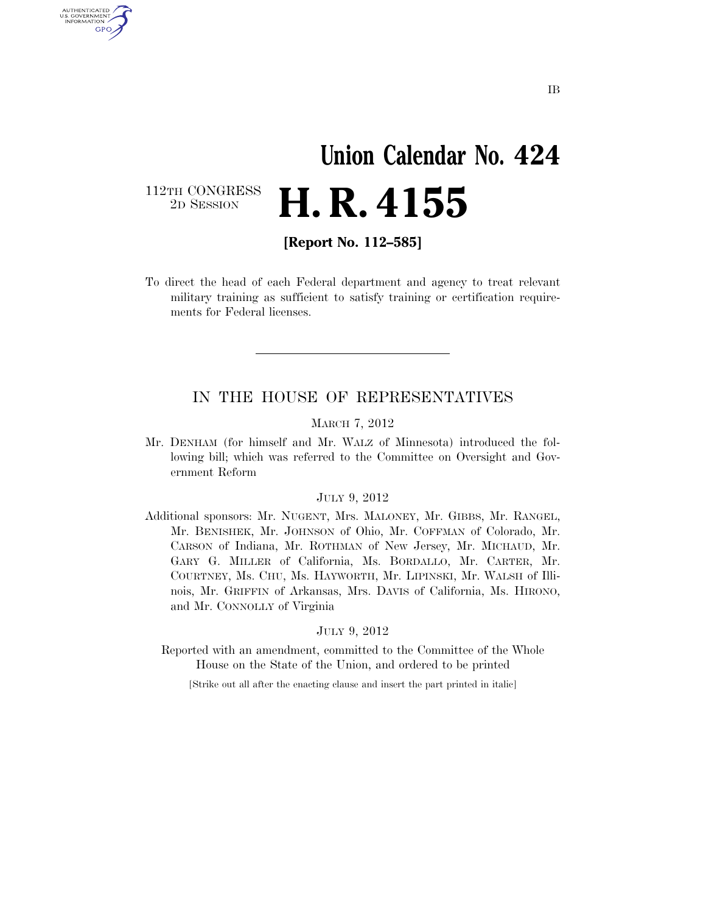# **Union Calendar No. 424**  2D SESSION **H. R. 4155**

112TH CONGRESS<br>2D SESSION

U.S. GOVERNMENT GPO

**[Report No. 112–585]** 

To direct the head of each Federal department and agency to treat relevant military training as sufficient to satisfy training or certification requirements for Federal licenses.

#### IN THE HOUSE OF REPRESENTATIVES

#### MARCH 7, 2012

Mr. DENHAM (for himself and Mr. WALZ of Minnesota) introduced the following bill; which was referred to the Committee on Oversight and Government Reform

#### JULY 9, 2012

Additional sponsors: Mr. NUGENT, Mrs. MALONEY, Mr. GIBBS, Mr. RANGEL, Mr. BENISHEK, Mr. JOHNSON of Ohio, Mr. COFFMAN of Colorado, Mr. CARSON of Indiana, Mr. ROTHMAN of New Jersey, Mr. MICHAUD, Mr. GARY G. MILLER of California, Ms. BORDALLO, Mr. CARTER, Mr. COURTNEY, Ms. CHU, Ms. HAYWORTH, Mr. LIPINSKI, Mr. WALSH of Illinois, Mr. GRIFFIN of Arkansas, Mrs. DAVIS of California, Ms. HIRONO, and Mr. CONNOLLY of Virginia

#### JULY 9, 2012

Reported with an amendment, committed to the Committee of the Whole House on the State of the Union, and ordered to be printed

[Strike out all after the enacting clause and insert the part printed in italic]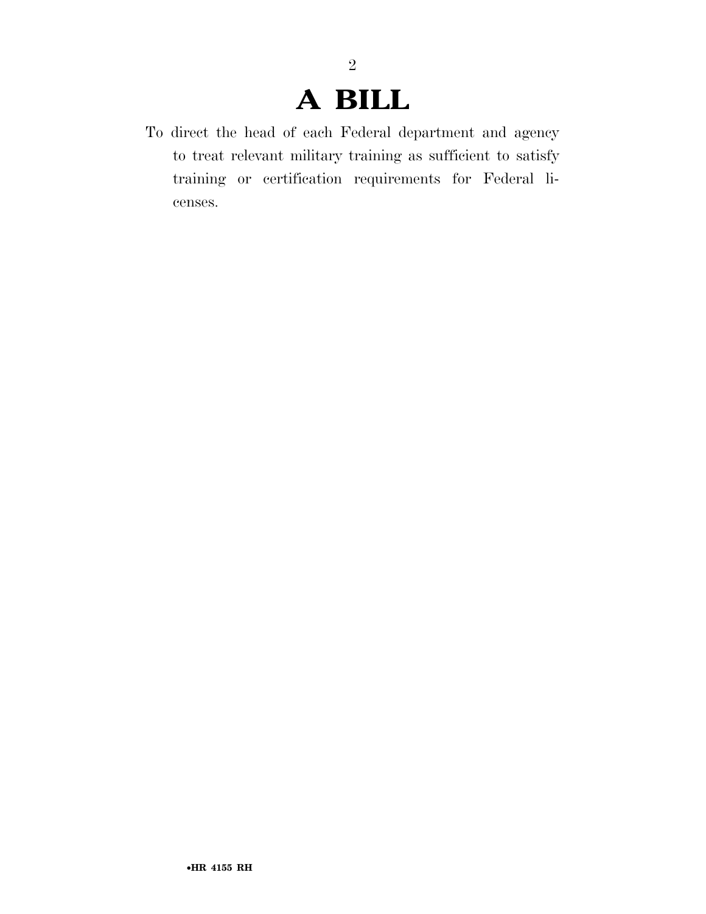## **A BILL**

To direct the head of each Federal department and agency to treat relevant military training as sufficient to satisfy training or certification requirements for Federal licenses.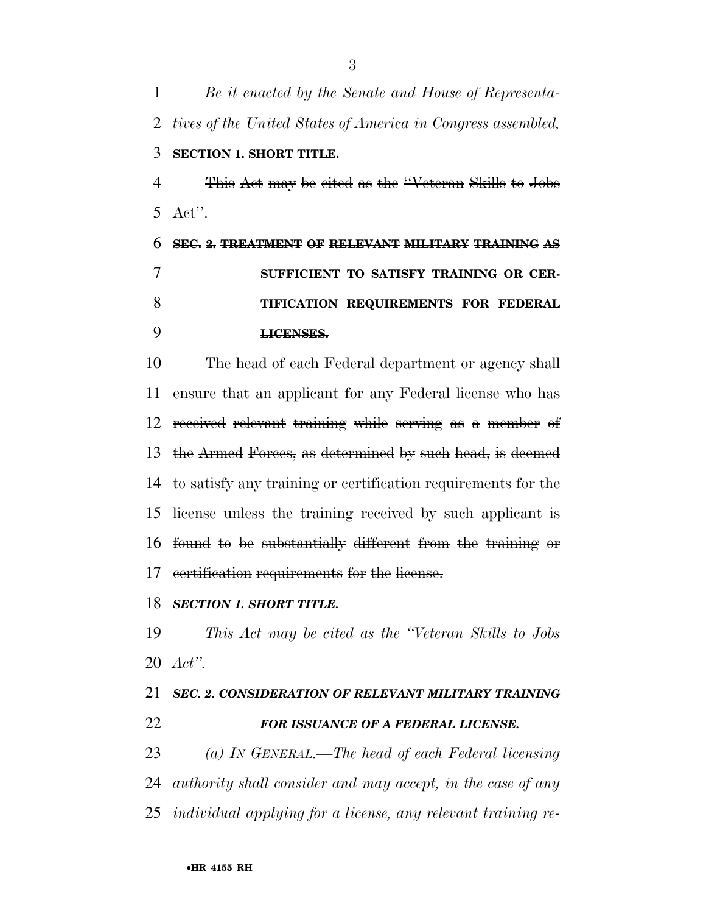*Be it enacted by the Senate and House of Representa- tives of the United States of America in Congress assembled,*  **SECTION 1. SHORT TITLE.**  This Act may be cited as the ''Veteran Skills to Jobs  $5 \text{Aet}$  **SEC. 2. TREATMENT OF RELEVANT MILITARY TRAINING AS SUFFICIENT TO SATISFY TRAINING OR CER- TIFICATION REQUIREMENTS FOR FEDERAL LICENSES.**  The head of each Federal department or agency shall

 ensure that an applicant for any Federal license who has received relevant training while serving as a member of the Armed Forces, as determined by such head, is deemed to satisfy any training or certification requirements for the license unless the training received by such applicant is found to be substantially different from the training or certification requirements for the license.

#### *SECTION 1. SHORT TITLE.*

 *This Act may be cited as the ''Veteran Skills to Jobs Act''.* 

### *SEC. 2. CONSIDERATION OF RELEVANT MILITARY TRAINING FOR ISSUANCE OF A FEDERAL LICENSE.*

 *(a) IN GENERAL.—The head of each Federal licensing authority shall consider and may accept, in the case of any individual applying for a license, any relevant training re-*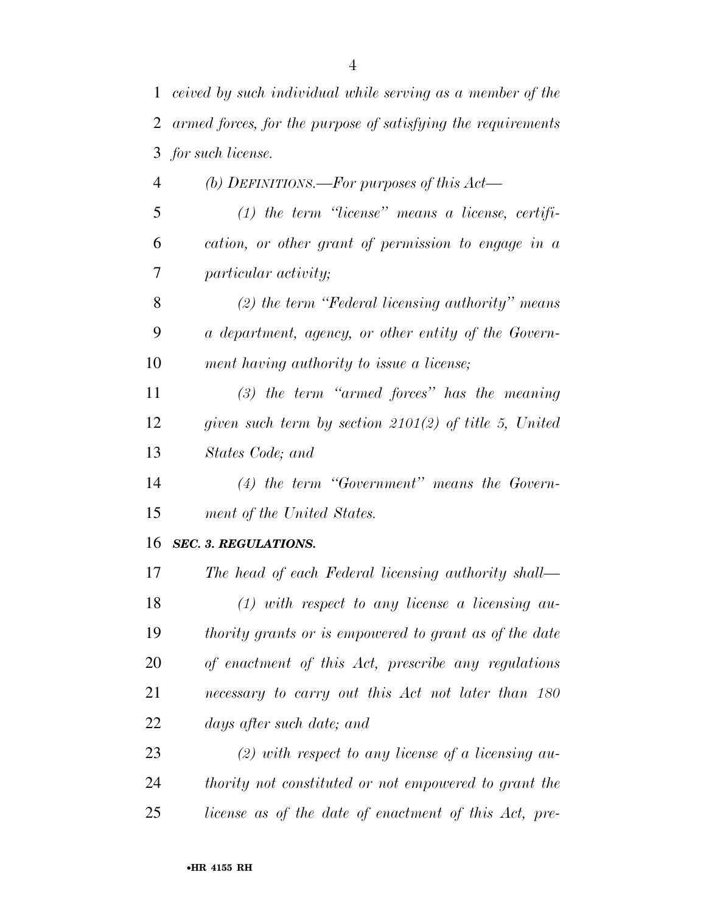| $\mathbf{1}$   | ceived by such individual while serving as a member of the   |
|----------------|--------------------------------------------------------------|
| $\overline{2}$ | armed forces, for the purpose of satisfying the requirements |
| 3              | for such license.                                            |
| $\overline{4}$ | (b) DEFINITIONS.—For purposes of this $Act$ —                |
| 5              | $(1)$ the term "license" means a license, certifi-           |
| 6              | cation, or other grant of permission to engage in a          |
| 7              | <i>particular activity;</i>                                  |
| 8              | $(2)$ the term "Federal licensing authority" means           |
| 9              | a department, agency, or other entity of the Govern-         |
| 10             | ment having authority to issue a license;                    |
| 11             | $(3)$ the term "armed forces" has the meaning                |
| 12             | given such term by section $2101(2)$ of title 5, United      |
| 13             | States Code; and                                             |
| 14             | $(4)$ the term "Government" means the Govern-                |
| 15             | ment of the United States.                                   |
| 16             | <b>SEC. 3. REGULATIONS.</b>                                  |
| 17             | The head of each Federal licensing authority shall—          |
| 18             | $(1)$ with respect to any license a licensing au-            |
| 19             | thority grants or is empowered to grant as of the date       |
| 20             | of enactment of this Act, prescribe any regulations          |
| 21             | necessary to carry out this Act not later than 180           |
| 22             | days after such date; and                                    |
| ⌒⌒             |                                                              |

 *(2) with respect to any license of a licensing au- thority not constituted or not empowered to grant the license as of the date of enactment of this Act, pre-*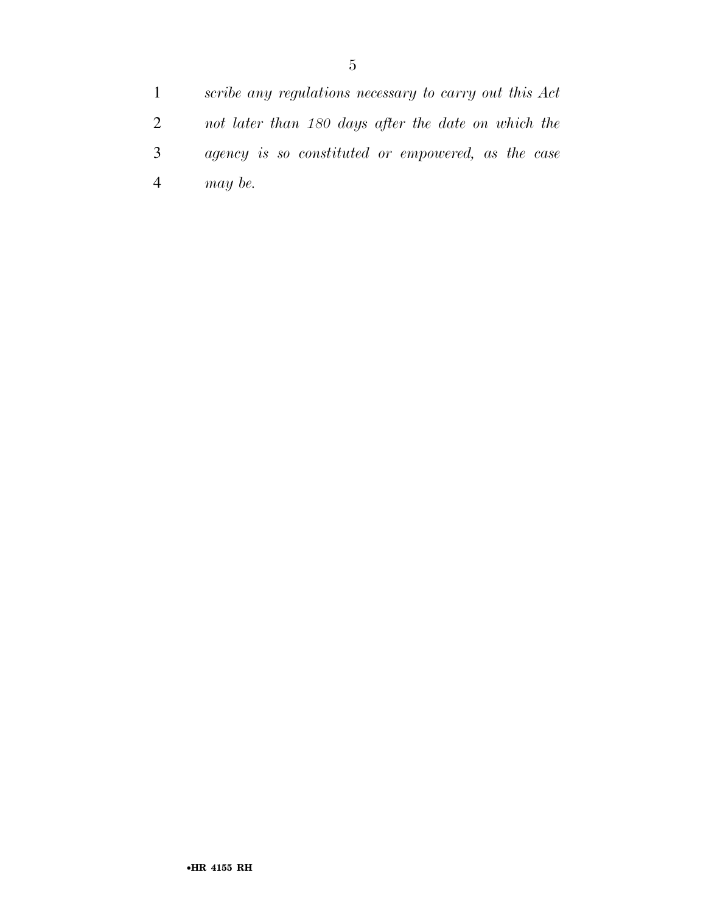*scribe any regulations necessary to carry out this Act not later than 180 days after the date on which the agency is so constituted or empowered, as the case may be.*